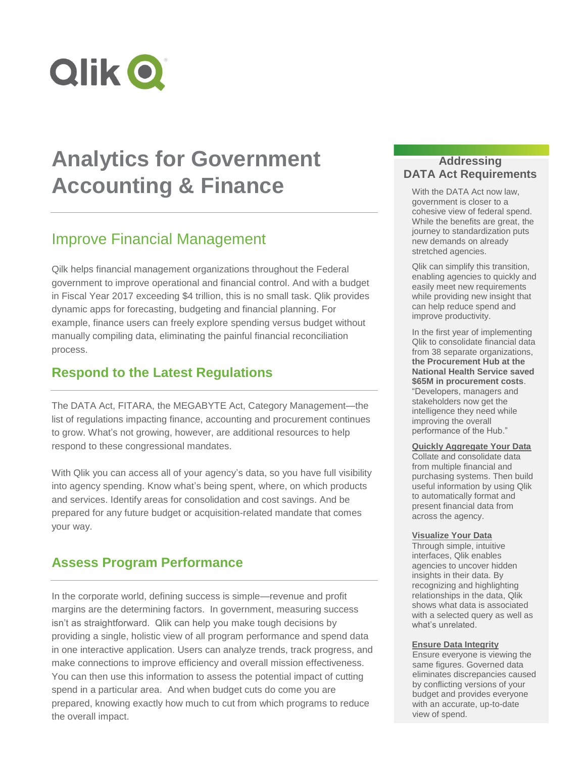

# **Analytics for Government Accounting & Finance**

# Improve Financial Management

Qilk helps financial management organizations throughout the Federal government to improve operational and financial control. And with a budget in Fiscal Year 2017 exceeding \$4 trillion, this is no small task. Qlik provides dynamic apps for forecasting, budgeting and financial planning. For example, finance users can freely explore spending versus budget without manually compiling data, eliminating the painful financial reconciliation process.

# **Respond to the Latest Regulations**

The DATA Act, FITARA, the MEGABYTE Act, Category Management—the list of regulations impacting finance, accounting and procurement continues to grow. What's not growing, however, are additional resources to help respond to these congressional mandates.

With Qlik you can access all of your agency's data, so you have full visibility into agency spending. Know what's being spent, where, on which products and services. Identify areas for consolidation and cost savings. And be prepared for any future budget or acquisition-related mandate that comes your way.

# **Assess Program Performance**

In the corporate world, defining success is simple—revenue and profit margins are the determining factors. In government, measuring success isn't as straightforward. Qlik can help you make tough decisions by providing a single, holistic view of all program performance and spend data in one interactive application. Users can analyze trends, track progress, and make connections to improve efficiency and overall mission effectiveness. You can then use this information to assess the potential impact of cutting spend in a particular area. And when budget cuts do come you are prepared, knowing exactly how much to cut from which programs to reduce the overall impact.

### **Addressing DATA Act Requirements**

With the DATA Act now law, government is closer to a cohesive view of federal spend. While the benefits are great, the journey to standardization puts new demands on already stretched agencies.

Qlik can simplify this transition, enabling agencies to quickly and easily meet new requirements while providing new insight that can help reduce spend and improve productivity.

In the first year of implementing Qlik to consolidate financial data from 38 separate organizations, **the Procurement Hub at the National Health Service saved \$65M in procurement costs**. "Developers, managers and stakeholders now get the intelligence they need while improving the overall performance of the Hub."

#### **Quickly Aggregate Your Data**

Collate and consolidate data from multiple financial and purchasing systems. Then build useful information by using Qlik to automatically format and present financial data from across the agency.

#### **Visualize Your Data**

Through simple, intuitive interfaces, Qlik enables agencies to uncover hidden insights in their data. By recognizing and highlighting relationships in the data, Qlik shows what data is associated with a selected query as well as what's unrelated.

#### **Ensure Data Integrity**

Ensure everyone is viewing the same figures. Governed data eliminates discrepancies caused by conflicting versions of your budget and provides everyone with an accurate, up-to-date view of spend.